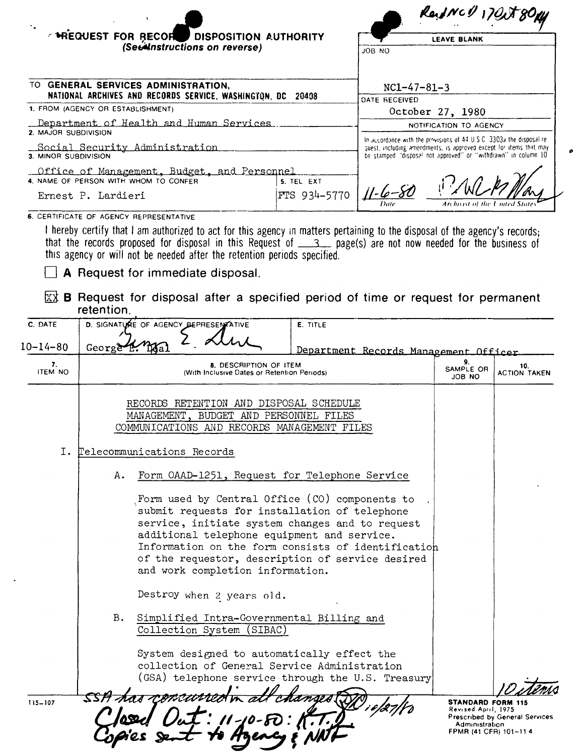|                                                                                                  | <b>HEQUEST FOR RECORD</b><br>DISPOSITION AUTHORITY                                                                                                                                                                             |                                                                                                   | <b>LEAVE BLANK</b>                                                                                                                  |                         |                     |
|--------------------------------------------------------------------------------------------------|--------------------------------------------------------------------------------------------------------------------------------------------------------------------------------------------------------------------------------|---------------------------------------------------------------------------------------------------|-------------------------------------------------------------------------------------------------------------------------------------|-------------------------|---------------------|
|                                                                                                  | (Sections on reverse)                                                                                                                                                                                                          |                                                                                                   | OU BOL                                                                                                                              |                         |                     |
|                                                                                                  |                                                                                                                                                                                                                                |                                                                                                   |                                                                                                                                     |                         |                     |
| TO GENERAL SERVICES ADMINISTRATION,                                                              |                                                                                                                                                                                                                                | $NC1-47-81-3$                                                                                     |                                                                                                                                     |                         |                     |
| NATIONAL ARCHIVES AND RECORDS SERVICE, WASHINGTON, DC 20408<br>1. FROM (AGENCY OR ESTABLISHMENT) |                                                                                                                                                                                                                                | DATE RECEIVED<br>October 27, 1980                                                                 |                                                                                                                                     |                         |                     |
| Department of Health and Human Services                                                          |                                                                                                                                                                                                                                | NOTIFICATION TO AGENCY                                                                            |                                                                                                                                     |                         |                     |
| 2. MAJOR SUBDIVISION                                                                             |                                                                                                                                                                                                                                | In accordance with the provisions of 44 U.S.C. 3303a the disposal re-                             |                                                                                                                                     |                         |                     |
| 3. MINOR SUBDIVISION                                                                             | Social Security Administration                                                                                                                                                                                                 |                                                                                                   | quest, including amendments, is approved except for items that may<br>be stamped disposal not approved" or "withdrawn" in column 10 |                         |                     |
|                                                                                                  | Office of Management, Budget, and Personnel<br>4. NAME OF PERSON WITH WHOM TO CONFER                                                                                                                                           | 5. TEL EXT                                                                                        |                                                                                                                                     |                         |                     |
|                                                                                                  | Ernest P. Lardieri                                                                                                                                                                                                             | FTS 934-5770                                                                                      |                                                                                                                                     |                         |                     |
|                                                                                                  |                                                                                                                                                                                                                                |                                                                                                   |                                                                                                                                     | Archivist of the United |                     |
|                                                                                                  | 6. CERTIFICATE OF AGENCY REPRESENTATIVE<br>I hereby certify that I am authorized to act for this agency in matters pertaining to the disposal of the agency's records;                                                         |                                                                                                   |                                                                                                                                     |                         |                     |
|                                                                                                  | that the records proposed for disposal in this Request of __3_ page(s) are not now needed for the business of<br>this agency or will not be needed after the retention periods specified.<br>A Request for immediate disposal. |                                                                                                   |                                                                                                                                     |                         |                     |
|                                                                                                  | $\overline{xx}$ B Request for disposal after a specified period of time or request for permanent<br>retention.                                                                                                                 |                                                                                                   |                                                                                                                                     |                         |                     |
| C. DATE                                                                                          | D. SIGNATURE OF AGENCY BEPRESENTATIVE                                                                                                                                                                                          | E. TITLE                                                                                          |                                                                                                                                     |                         |                     |
| $10 - 14 - 80$                                                                                   | George                                                                                                                                                                                                                         |                                                                                                   | Department Records Management Officer                                                                                               |                         |                     |
| 7.                                                                                               |                                                                                                                                                                                                                                | 8. DESCRIPTION OF ITEM                                                                            |                                                                                                                                     | 9.<br>SAMPLE OR         | 10.                 |
| <b>ITEM NO</b>                                                                                   |                                                                                                                                                                                                                                | (With Inclusive Dates or Retention Periods)                                                       |                                                                                                                                     | JOB NO                  | <b>ACTION TAKEN</b> |
|                                                                                                  | RECORDS RETENTION AND DISPOSAL SCHEDULE                                                                                                                                                                                        |                                                                                                   |                                                                                                                                     |                         |                     |
|                                                                                                  |                                                                                                                                                                                                                                |                                                                                                   |                                                                                                                                     |                         |                     |
|                                                                                                  | MANAGEMENT, BUDGET AND PERSONNEL FILES                                                                                                                                                                                         |                                                                                                   |                                                                                                                                     |                         |                     |
|                                                                                                  | COMMUNICATIONS AND RECORDS MANAGEMENT FILES                                                                                                                                                                                    |                                                                                                   |                                                                                                                                     |                         |                     |
| Ι.                                                                                               | Telecommunications Records                                                                                                                                                                                                     |                                                                                                   |                                                                                                                                     |                         |                     |
|                                                                                                  |                                                                                                                                                                                                                                |                                                                                                   |                                                                                                                                     |                         |                     |
|                                                                                                  | Α.                                                                                                                                                                                                                             | Form OAAD-1251, Request for Telephone Service                                                     |                                                                                                                                     |                         |                     |
|                                                                                                  |                                                                                                                                                                                                                                | Form used by Central Office (CO) components to                                                    |                                                                                                                                     |                         |                     |
|                                                                                                  |                                                                                                                                                                                                                                | submit requests for installation of telephone<br>service, initiate system changes and to request  |                                                                                                                                     |                         |                     |
|                                                                                                  |                                                                                                                                                                                                                                | additional telephone equipment and service.                                                       |                                                                                                                                     |                         |                     |
|                                                                                                  |                                                                                                                                                                                                                                | Information on the form consists of identification                                                |                                                                                                                                     |                         |                     |
|                                                                                                  | and work completion information.                                                                                                                                                                                               | of the requestor, description of service desired                                                  |                                                                                                                                     |                         |                     |
|                                                                                                  | Destroy when 2 years old.                                                                                                                                                                                                      |                                                                                                   |                                                                                                                                     |                         |                     |
|                                                                                                  | B.                                                                                                                                                                                                                             |                                                                                                   |                                                                                                                                     |                         |                     |
|                                                                                                  | Collection System (SIBAC)                                                                                                                                                                                                      | Simplified Intra-Governmental Billing and                                                         |                                                                                                                                     |                         |                     |
|                                                                                                  |                                                                                                                                                                                                                                | System designed to automatically effect the                                                       |                                                                                                                                     |                         |                     |
|                                                                                                  |                                                                                                                                                                                                                                | collection of General Service Administration<br>(GSA) telephone service through the U.S. Treasury |                                                                                                                                     |                         |                     |

 $\ddot{\phantom{a}}$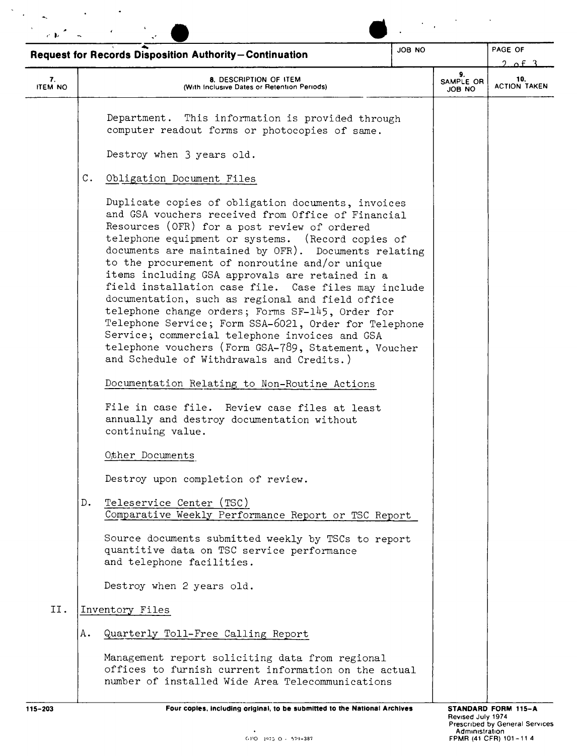| JOB NO<br><b>Request for Records Disposition Authority-Continuation</b> |                                                                                                                                                                                                                                                                                                                                                                                                                                                                                                                                                                                                                                                                                                      |                           | PAGE OF<br>2. of 3         |  |
|-------------------------------------------------------------------------|------------------------------------------------------------------------------------------------------------------------------------------------------------------------------------------------------------------------------------------------------------------------------------------------------------------------------------------------------------------------------------------------------------------------------------------------------------------------------------------------------------------------------------------------------------------------------------------------------------------------------------------------------------------------------------------------------|---------------------------|----------------------------|--|
| 7.<br><b>ITEM NO</b>                                                    | 8. DESCRIPTION OF ITEM<br>(With Inclusive Dates or Retention Periods)                                                                                                                                                                                                                                                                                                                                                                                                                                                                                                                                                                                                                                | 9.<br>SAMPLE OR<br>ON BOL | 10.<br><b>ACTION TAKEN</b> |  |
|                                                                         | Department. This information is provided through<br>computer readout forms or photocopies of same.<br>Destroy when 3 years old.<br>С.<br>Obligation Document Files<br>Duplicate copies of obligation documents, invoices                                                                                                                                                                                                                                                                                                                                                                                                                                                                             |                           |                            |  |
|                                                                         | and GSA vouchers received from Office of Financial<br>Resources (OFR) for a post review of ordered<br>telephone equipment or systems. (Record copies of<br>documents are maintained by OFR). Documents relating<br>to the procurement of nonroutine and/or unique<br>items including GSA approvals are retained in a<br>field installation case file. Case files may include<br>documentation, such as regional and field office<br>telephone change orders; Forms SF-145, Order for<br>Telephone Service; Form SSA-6021, Order for Telephone<br>Service; commercial telephone invoices and GSA<br>telephone vouchers (Form GSA-789, Statement, Voucher<br>and Schedule of Withdrawals and Credits.) |                           |                            |  |
|                                                                         | Documentation Relating to Non-Routine Actions<br>File in case file. Review case files at least<br>annually and destroy documentation without<br>continuing value.                                                                                                                                                                                                                                                                                                                                                                                                                                                                                                                                    |                           |                            |  |
|                                                                         | Other Documents                                                                                                                                                                                                                                                                                                                                                                                                                                                                                                                                                                                                                                                                                      |                           |                            |  |
|                                                                         | Destroy upon completion of review.                                                                                                                                                                                                                                                                                                                                                                                                                                                                                                                                                                                                                                                                   |                           |                            |  |
|                                                                         | Teleservice Center (TSC)<br>D.<br>Comparative Weekly Performance Report or TSC Report                                                                                                                                                                                                                                                                                                                                                                                                                                                                                                                                                                                                                |                           |                            |  |
|                                                                         | Source documents submitted weekly by TSCs to report<br>quantitive data on TSC service performance<br>and telephone facilities.                                                                                                                                                                                                                                                                                                                                                                                                                                                                                                                                                                       |                           |                            |  |
|                                                                         | Destroy when 2 years old.                                                                                                                                                                                                                                                                                                                                                                                                                                                                                                                                                                                                                                                                            |                           |                            |  |
| II.                                                                     | Inventory Files                                                                                                                                                                                                                                                                                                                                                                                                                                                                                                                                                                                                                                                                                      |                           |                            |  |
|                                                                         | Α.<br>Quarterly Toll-Free Calling Report                                                                                                                                                                                                                                                                                                                                                                                                                                                                                                                                                                                                                                                             |                           |                            |  |
|                                                                         | Management report soliciting data from regional<br>offices to furnish current information on the actual                                                                                                                                                                                                                                                                                                                                                                                                                                                                                                                                                                                              |                           |                            |  |

--------~--------------------------------------------------------------~--------~------------ 115-203 Four copies, Including original, to be submitted to the National Archives STANDARD FORM 115-A